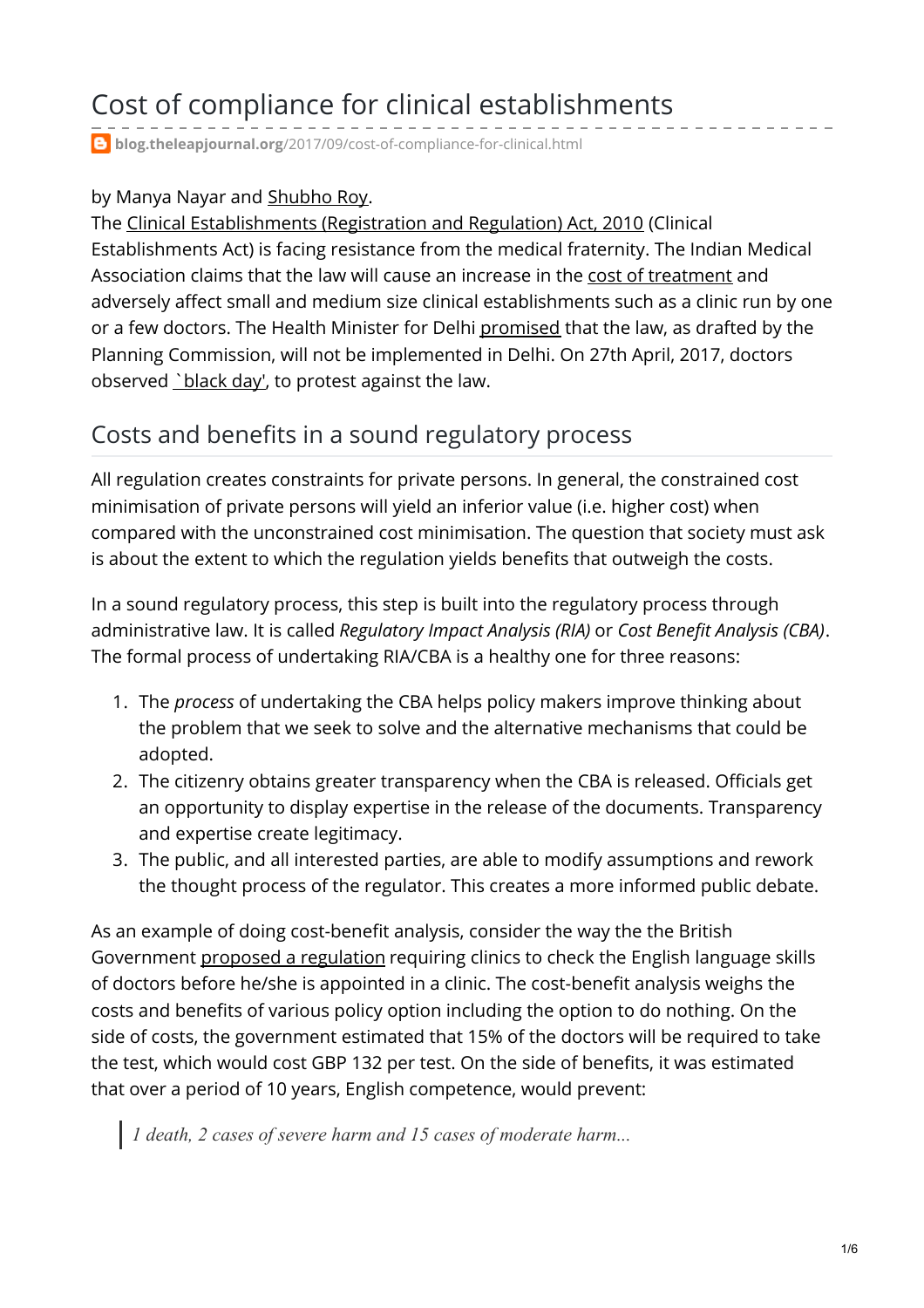# Cost of compliance for clinical establishments

**blog.theleapjournal.org**[/2017/09/cost-of-compliance-for-clinical.html](https://blog.theleapjournal.org/2017/09/cost-of-compliance-for-clinical.html)

#### by Manya Nayar and [Shubho](https://ajayshahblog.blogspot.in/2011/02/author-shubho-roy.html) Roy.

The Clinical [Establishments](http://clinicalestablishments.nic.in/WriteReadData/969.pdf) (Registration and Regulation) Act, 2010 (Clinical Establishments Act) is facing resistance from the medical fraternity. The Indian Medical Association claims that the law will cause an increase in the cost of [treatment](http://timesofindia.indiatimes.com/city/pune/New-Clinical-Establishments-Act-will-raise-treatment-cost/articleshow/17501096.cms) and adversely affect small and medium size clinical establishments such as a clinic run by one or a few doctors. The Health Minister for Delhi [promised](http://www.pharmabiz.com/NewsDetails.aspx?aid=87791&sid=1) that the law, as drafted by the Planning Commission, will not be implemented in Delhi. On 27th April, 2017, doctors observed [`black](http://indianexpress.com/article/india/clinical-establishment-act-doctors-medical-professionals-in-west-benagl-to-observe-black-day-on-april-27/) day', to protest against the law.

### Costs and benefits in a sound regulatory process

All regulation creates constraints for private persons. In general, the constrained cost minimisation of private persons will yield an inferior value (i.e. higher cost) when compared with the unconstrained cost minimisation. The question that society must ask is about the extent to which the regulation yields benefits that outweigh the costs.

In a sound regulatory process, this step is built into the regulatory process through administrative law. It is called *Regulatory Impact Analysis (RIA)* or *Cost Benefit Analysis (CBA)*. The formal process of undertaking RIA/CBA is a healthy one for three reasons:

- 1. The *process* of undertaking the CBA helps policy makers improve thinking about the problem that we seek to solve and the alternative mechanisms that could be adopted.
- 2. The citizenry obtains greater transparency when the CBA is released. Officials get an opportunity to display expertise in the release of the documents. Transparency and expertise create legitimacy.
- 3. The public, and all interested parties, are able to modify assumptions and rework the thought process of the regulator. This creates a more informed public debate.

As an example of doing cost-benefit analysis, consider the way the the British Government proposed a [regulation](http://www.legislation.gov.uk/ukia/2013/1115/pdfs/ukia_20131115_en.pdf) requiring clinics to check the English language skills of doctors before he/she is appointed in a clinic. The cost-benefit analysis weighs the costs and benefits of various policy option including the option to do nothing. On the side of costs, the government estimated that 15% of the doctors will be required to take the test, which would cost GBP 132 per test. On the side of benefits, it was estimated that over a period of 10 years, English competence, would prevent:

*1 death, 2 cases of severe harm and 15 cases of moderate harm...*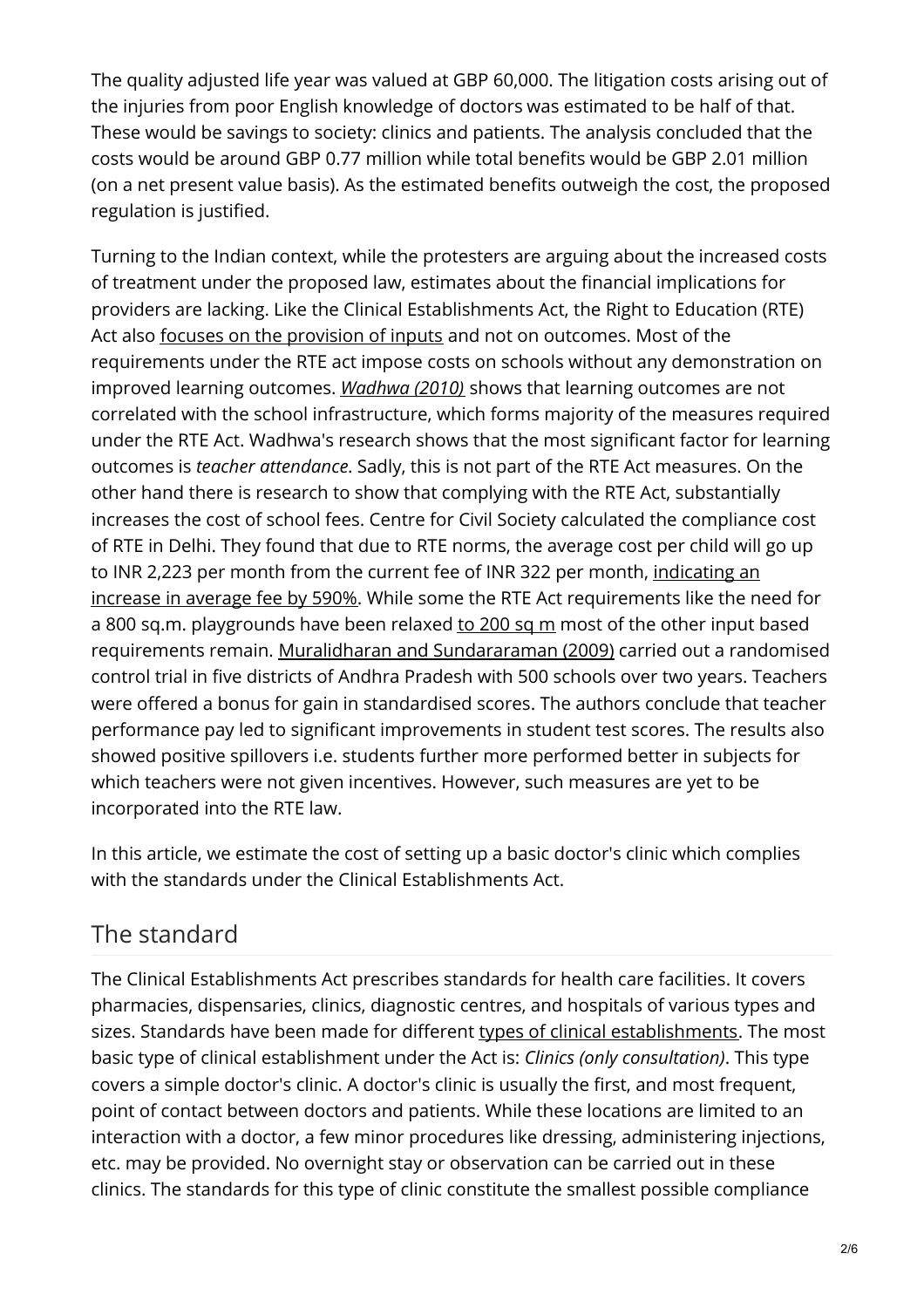The quality adjusted life year was valued at GBP 60,000. The litigation costs arising out of the injuries from poor English knowledge of doctors was estimated to be half of that. These would be savings to society: clinics and patients. The analysis concluded that the costs would be around GBP 0.77 million while total benefits would be GBP 2.01 million (on a net present value basis). As the estimated benefits outweigh the cost, the proposed regulation is justified.

Turning to the Indian context, while the protesters are arguing about the increased costs of treatment under the proposed law, estimates about the financial implications for providers are lacking. Like the Clinical Establishments Act, the Right to Education (RTE) Act also focuses on the [provision](http://ccs.in/sites/default/files/research/research_rte-another-license-raj.pdf) of inputs and not on outcomes. Most of the requirements under the RTE act impose costs on schools without any demonstration on improved learning outcomes. *[Wadhwa](http://img.asercentre.org/docs/Publications/ASER Reports/ASER_2010/Articles/ww2010.pdf) (2010)* shows that learning outcomes are not correlated with the school infrastructure, which forms majority of the measures required under the RTE Act. Wadhwa's research shows that the most significant factor for learning outcomes is *teacher attendance*. Sadly, this is not part of the RTE Act measures. On the other hand there is research to show that complying with the RTE Act, substantially increases the cost of school fees. Centre for Civil Society calculated the compliance cost of RTE in Delhi. They found that due to RTE norms, the average cost per child will go up to INR 2,223 per month from the current fee of INR 322 per month, indicating an increase in average fee by 590%. While some the RTE Act [requirements](http://timesofindia.indiatimes.com/city/delhi/Unrecognized-schools-need-fee-hike-to-apply-RTE-rules/articleshow/27744104.cms) like the need for a 800 sq.m. playgrounds have been relaxed to [200](http://www.governancenow.com/news/regular-story/delhi-goes-easy-rte-land-norms-schools) sq m most of the other input based requirements remain. Muralidharan and [Sundararaman](http://www.nber.org/papers/w15323.pdf) (2009) carried out a randomised control trial in five districts of Andhra Pradesh with 500 schools over two years. Teachers were offered a bonus for gain in standardised scores. The authors conclude that teacher performance pay led to significant improvements in student test scores. The results also showed positive spillovers i.e. students further more performed better in subjects for which teachers were not given incentives. However, such measures are yet to be incorporated into the RTE law.

In this article, we estimate the cost of setting up a basic doctor's clinic which complies with the standards under the Clinical Establishments Act.

## The standard

The Clinical Establishments Act prescribes standards for health care facilities. It covers pharmacies, dispensaries, clinics, diagnostic centres, and hospitals of various types and sizes. Standards have been made for different types of clinical [establishments](http://clinicalestablishments.nic.in/WriteReadData/650.pdf). The most basic type of clinical establishment under the Act is: *Clinics (only consultation)*. This type covers a simple doctor's clinic. A doctor's clinic is usually the first, and most frequent, point of contact between doctors and patients. While these locations are limited to an interaction with a doctor, a few minor procedures like dressing, administering injections, etc. may be provided. No overnight stay or observation can be carried out in these clinics. The standards for this type of clinic constitute the smallest possible compliance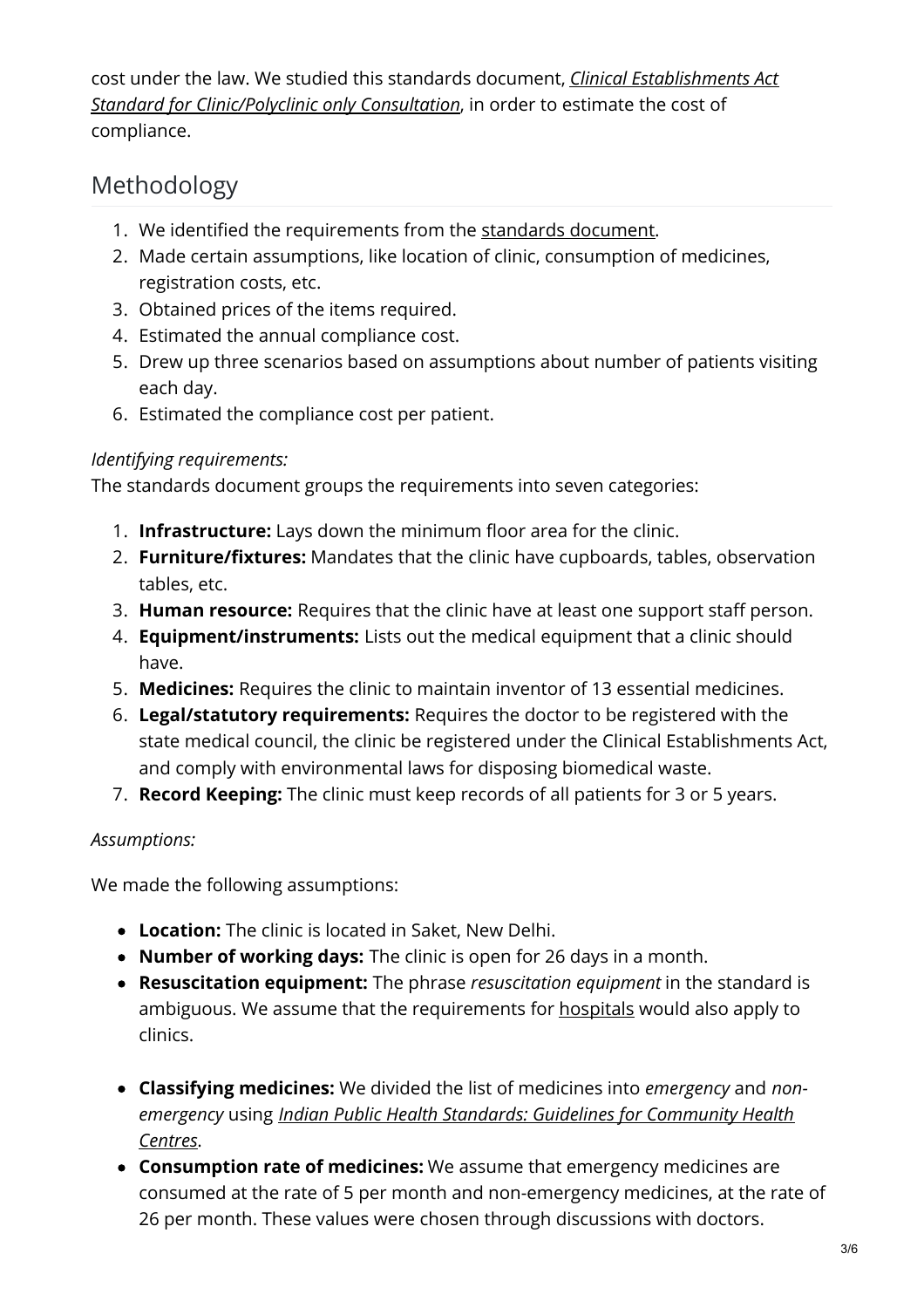cost under the law. We studied this standards document, *Clinical Establishments Act Standard for [Clinic/Polyclinic](http://clinicalestablishments.nic.in/WriteReadData/9361.pdf) only Consultation*, in order to estimate the cost of compliance.

# Methodology

- 1. We identified the requirements from the standards [document](http://clinicalestablishments.nic.in/WriteReadData/9361.pdf).
- 2. Made certain assumptions, like location of clinic, consumption of medicines, registration costs, etc.
- 3. Obtained prices of the items required.
- 4. Estimated the annual compliance cost.
- 5. Drew up three scenarios based on assumptions about number of patients visiting each day.
- 6. Estimated the compliance cost per patient.

#### *Identifying requirements:*

The standards document groups the requirements into seven categories:

- 1. **Infrastructure:** Lays down the minimum floor area for the clinic.
- 2. **Furniture/fixtures:** Mandates that the clinic have cupboards, tables, observation tables, etc.
- 3. **Human resource:** Requires that the clinic have at least one support staff person.
- 4. **Equipment/instruments:** Lists out the medical equipment that a clinic should have.
- 5. **Medicines:** Requires the clinic to maintain inventor of 13 essential medicines.
- 6. **Legal/statutory requirements:** Requires the doctor to be registered with the state medical council, the clinic be registered under the Clinical Establishments Act, and comply with environmental laws for disposing biomedical waste.
- 7. **Record Keeping:** The clinic must keep records of all patients for 3 or 5 years.

#### *Assumptions:*

We made the following assumptions:

- **Location:** The clinic is located in Saket, New Delhi.
- **Number of working days:** The clinic is open for 26 days in a month.
- **Resuscitation equipment:** The phrase *resuscitation equipment* in the standard is ambiguous. We assume that the requirements for **[hospitals](http://clinicalestablishments.nic.in/WriteReadData/147.pdf)** would also apply to clinics.
- **Classifying medicines:** We divided the list of medicines into *emergency* and *nonemergency* using *Indian Public Health Standards: Guidelines for [Community](http://health.bih.nic.in/docs/guidelines/guidelines-community-health-centres.pdf) Health Centres*.
- **Consumption rate of medicines:** We assume that emergency medicines are consumed at the rate of 5 per month and non-emergency medicines, at the rate of 26 per month. These values were chosen through discussions with doctors.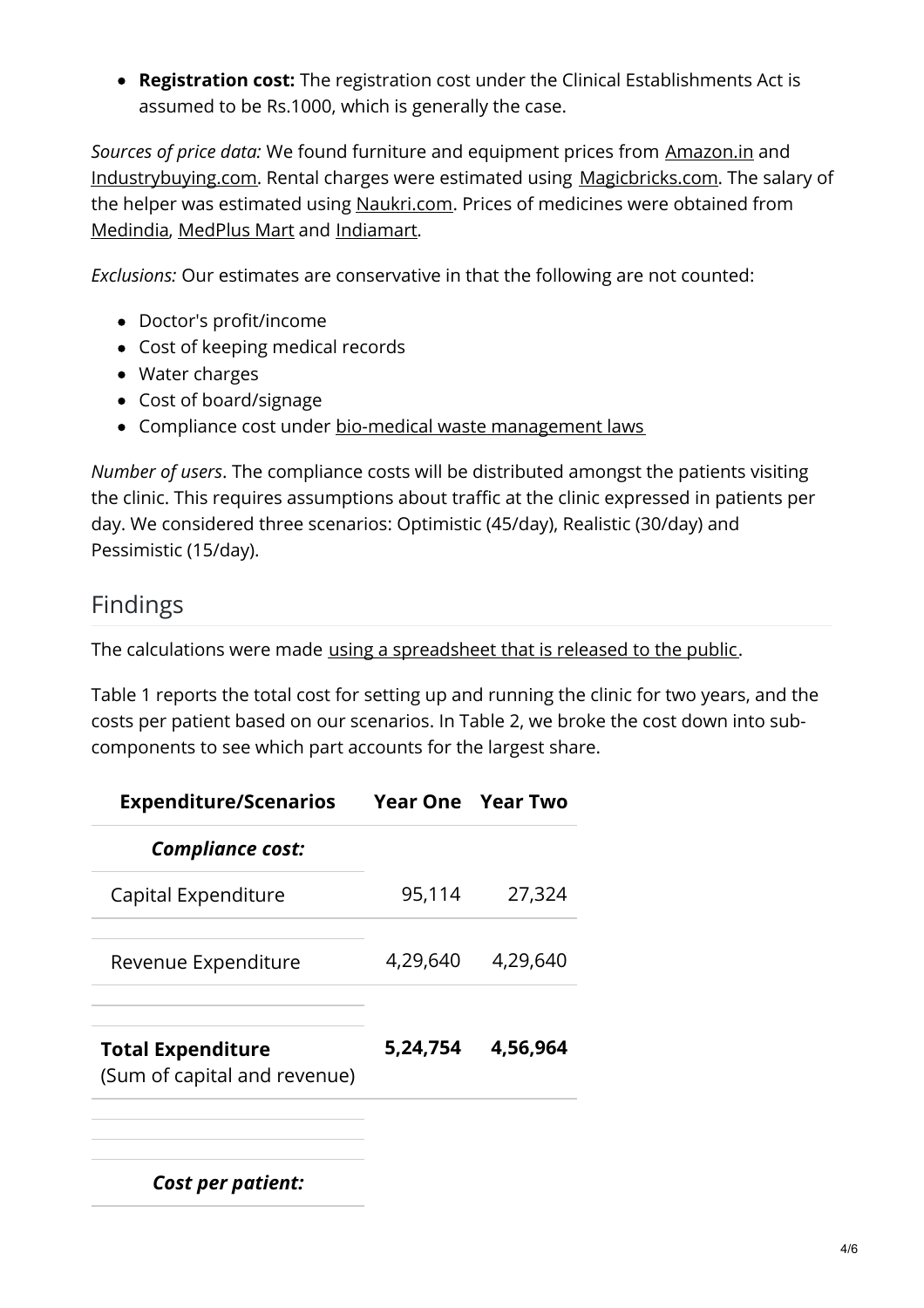**Registration cost:** The registration cost under the Clinical Establishments Act is assumed to be Rs.1000, which is generally the case.

*Sources of price data:* We found furniture and equipment prices from [Amazon.in](http://www.amazon.in/) and [Industrybuying.com](http://www.industrybuying.com/). Rental charges were estimated using [Magicbricks.com](http://www.magicbricks.com/). The salary of the helper was estimated using [Naukri.com](https://www.naukri.com/). Prices of medicines were obtained from [Medindia](http://www.medindia.net/), [MedPlus](https://www.medplusmart.com/) Mart and [Indiamart](https://www.indiamart.com/).

*Exclusions:* Our estimates are conservative in that the following are not counted:

- Doctor's profit/income
- Cost of keeping medical records
- Water charges
- Cost of board/signage
- Compliance cost under bio-medical waste [management](https://www.dpcc.delhigovt.nic.in/pdf/BMW Rules_2016.pdf) laws

*Number of users*. The compliance costs will be distributed amongst the patients visiting the clinic. This requires assumptions about traffic at the clinic expressed in patients per day. We considered three scenarios: Optimistic (45/day), Realistic (30/day) and Pessimistic (15/day).

### Findings

The calculations were made using a [spreadsheet](https://docs.google.com/spreadsheets/d/1ngv2HK1z2yH2VhIhhjTcpig0UiaEgEOlBuZrEj8sIUk/edit#gid=88557410) that is released to the public.

Table 1 reports the total cost for setting up and running the clinic for two years, and the costs per patient based on our scenarios. In Table 2, we broke the cost down into subcomponents to see which part accounts for the largest share.

| <b>Expenditure/Scenarios</b>                             |          | <b>Year One Year Two</b> |
|----------------------------------------------------------|----------|--------------------------|
| <b>Compliance cost:</b>                                  |          |                          |
| Capital Expenditure                                      | 95,114   | 27,324                   |
| Revenue Expenditure                                      | 4,29,640 | 4,29,640                 |
| <b>Total Expenditure</b><br>(Sum of capital and revenue) | 5,24,754 | 4,56,964                 |
| <b>Cost per patient:</b>                                 |          |                          |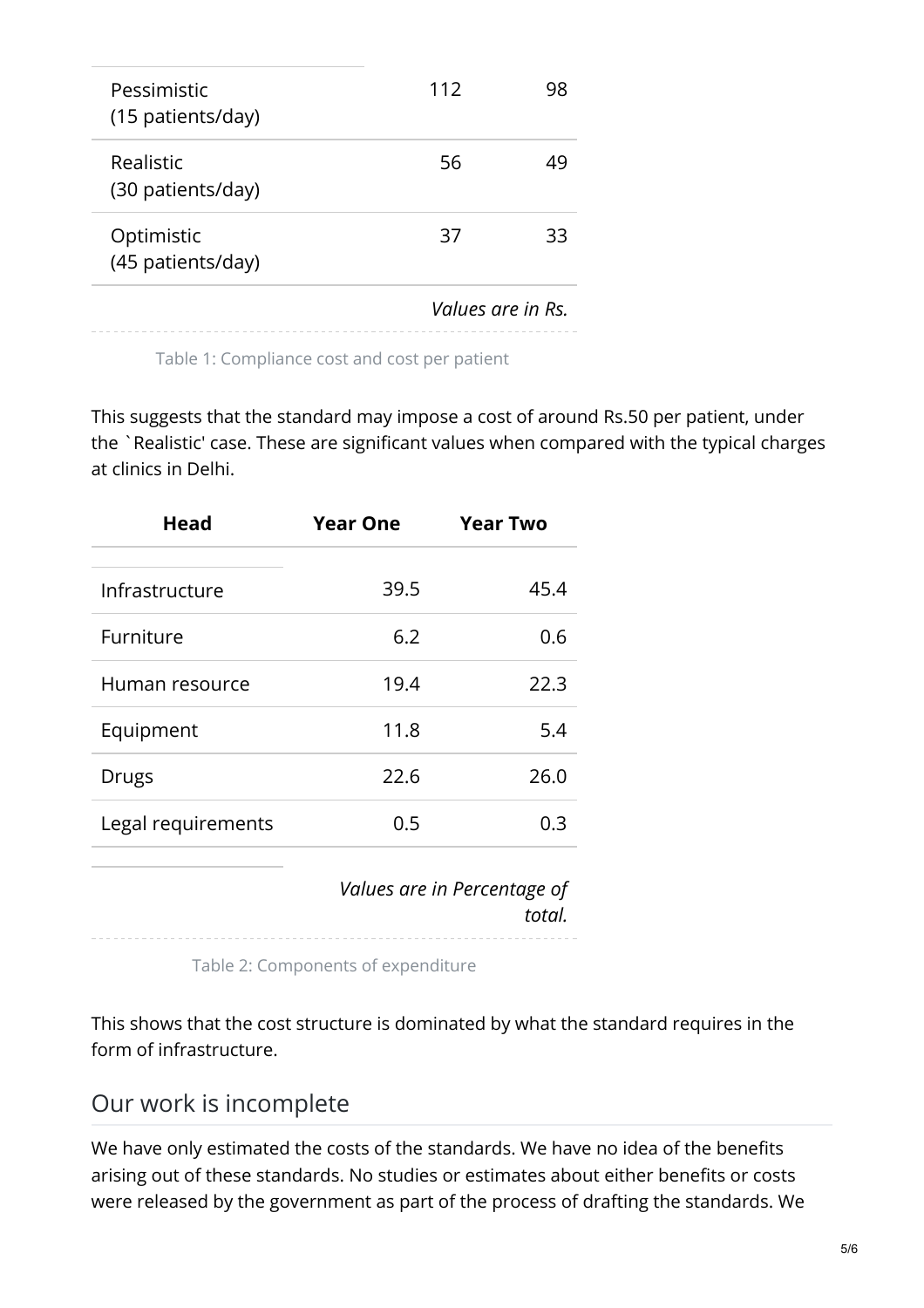|                                  | Values are in Rs. |    |
|----------------------------------|-------------------|----|
| Optimistic<br>(45 patients/day)  | 37                | 33 |
| Realistic<br>(30 patients/day)   | 56                | 49 |
| Pessimistic<br>(15 patients/day) | 112               | 98 |

Table 1: Compliance cost and cost per patient

This suggests that the standard may impose a cost of around Rs.50 per patient, under the `Realistic' case. These are significant values when compared with the typical charges at clinics in Delhi.

| <b>Head</b>        | <b>Year One</b> | <b>Year Two</b> |
|--------------------|-----------------|-----------------|
| Infrastructure     | 39.5            | 45.4            |
| Furniture          | 6.2             | 0.6             |
| Human resource     | 19.4            | 22.3            |
| Equipment          | 11.8            | 5.4             |
| <b>Drugs</b>       | 22.6            | 26.0            |
| Legal requirements | 0.5             | 0.3             |

*Values are in Percentage of total.*

Table 2: Components of expenditure

This shows that the cost structure is dominated by what the standard requires in the form of infrastructure.

### Our work is incomplete

We have only estimated the costs of the standards. We have no idea of the benefits arising out of these standards. No studies or estimates about either benefits or costs were released by the government as part of the process of drafting the standards. We